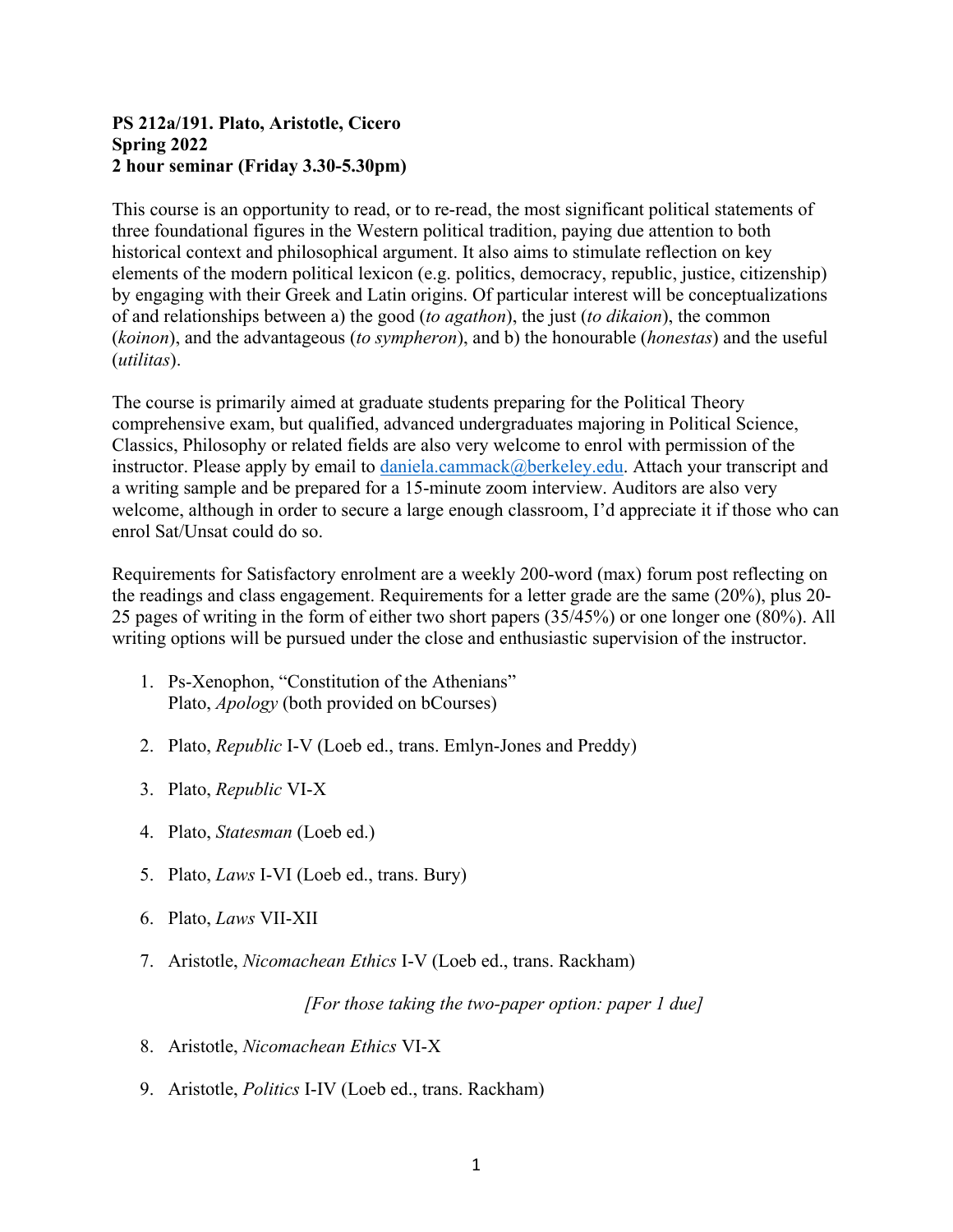### **PS 212a/191. Plato, Aristotle, Cicero Spring 2022 2 hour seminar (Friday 3.30-5.30pm)**

This course is an opportunity to read, or to re-read, the most significant political statements of three foundational figures in the Western political tradition, paying due attention to both historical context and philosophical argument. It also aims to stimulate reflection on key elements of the modern political lexicon (e.g. politics, democracy, republic, justice, citizenship) by engaging with their Greek and Latin origins. Of particular interest will be conceptualizations of and relationships between a) the good (*to agathon*), the just (*to dikaion*), the common (*koinon*), and the advantageous (*to sympheron*), and b) the honourable (*honestas*) and the useful (*utilitas*).

The course is primarily aimed at graduate students preparing for the Political Theory comprehensive exam, but qualified, advanced undergraduates majoring in Political Science, Classics, Philosophy or related fields are also very welcome to enrol with permission of the instructor. Please apply by email to [daniela.cammack@berkeley.edu.](mailto:daniela.cammack@berkeley.edu) Attach your transcript and a writing sample and be prepared for a 15-minute zoom interview. Auditors are also very welcome, although in order to secure a large enough classroom, I'd appreciate it if those who can enrol Sat/Unsat could do so.

Requirements for Satisfactory enrolment are a weekly 200-word (max) forum post reflecting on the readings and class engagement. Requirements for a letter grade are the same (20%), plus 20- 25 pages of writing in the form of either two short papers (35/45%) or one longer one (80%). All writing options will be pursued under the close and enthusiastic supervision of the instructor.

- 1. Ps-Xenophon, "Constitution of the Athenians" Plato, *Apology* (both provided on bCourses)
- 2. Plato, *Republic* I-V (Loeb ed., trans. Emlyn-Jones and Preddy)
- 3. Plato, *Republic* VI-X
- 4. Plato, *Statesman* (Loeb ed.)
- 5. Plato, *Laws* I-VI (Loeb ed., trans. Bury)
- 6. Plato, *Laws* VII-XII
- 7. Aristotle, *Nicomachean Ethics* I-V (Loeb ed., trans. Rackham)

*[For those taking the two-paper option: paper 1 due]* 

- 8. Aristotle, *Nicomachean Ethics* VI-X
- 9. Aristotle, *Politics* I-IV (Loeb ed., trans. Rackham)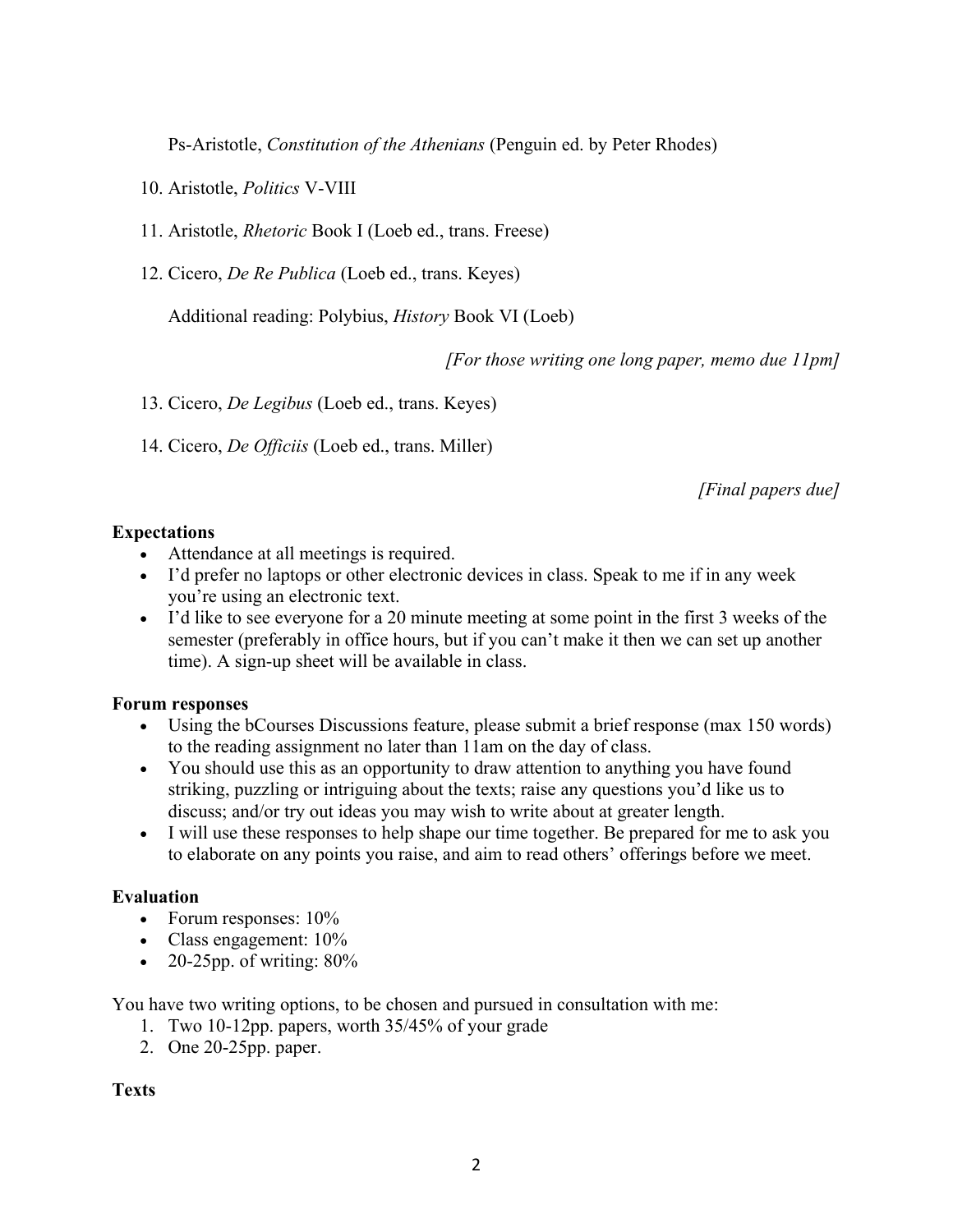Ps-Aristotle, *Constitution of the Athenians* (Penguin ed. by Peter Rhodes)

- 10. Aristotle, *Politics* V-VIII
- 11. Aristotle, *Rhetoric* Book I (Loeb ed., trans. Freese)
- 12. Cicero, *De Re Publica* (Loeb ed., trans. Keyes)

Additional reading: Polybius, *History* Book VI (Loeb)

*[For those writing one long paper, memo due 11pm]* 

13. Cicero, *De Legibus* (Loeb ed., trans. Keyes)

14. Cicero, *De Officiis* (Loeb ed., trans. Miller)

*[Final papers due]*

# **Expectations**

- Attendance at all meetings is required.
- I'd prefer no laptops or other electronic devices in class. Speak to me if in any week you're using an electronic text.
- I'd like to see everyone for a 20 minute meeting at some point in the first 3 weeks of the semester (preferably in office hours, but if you can't make it then we can set up another time). A sign-up sheet will be available in class.

### **Forum responses**

- Using the bCourses Discussions feature, please submit a brief response (max 150 words) to the reading assignment no later than 11am on the day of class.
- You should use this as an opportunity to draw attention to anything you have found striking, puzzling or intriguing about the texts; raise any questions you'd like us to discuss; and/or try out ideas you may wish to write about at greater length.
- I will use these responses to help shape our time together. Be prepared for me to ask you to elaborate on any points you raise, and aim to read others' offerings before we meet.

### **Evaluation**

- Forum responses:  $10\%$
- Class engagement:  $10\%$
- 20-25pp. of writing:  $80\%$

You have two writing options, to be chosen and pursued in consultation with me:

- 1. Two 10-12pp. papers, worth 35/45% of your grade
- 2. One 20-25pp. paper.

**Texts**